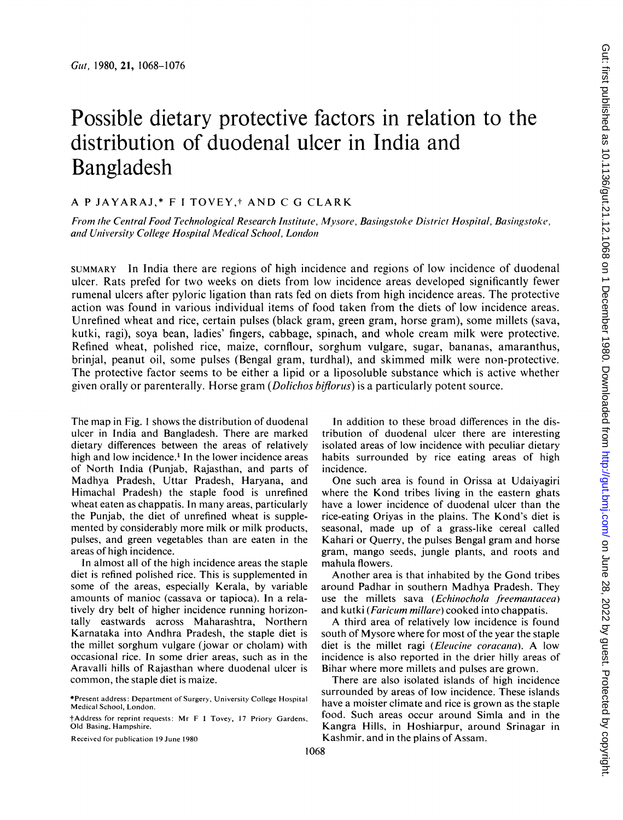# Possible dietary protective factors in relation to the distribution of duodenal ulcer in India and Bangladesh

# A <sup>P</sup> JAYARAJ,\* <sup>F</sup> TOVEY,t AND C G CLARK

From the Central Food Technological Research Institute, Mysore, Basingstoke District Hospital, Basingstoke, and University College Hospital Medical School, London

SUMMARY In India there are regions of high incidence and regions of low incidence of duodenal ulcer. Rats prefed for two weeks on diets from low incidence areas developed significantly fewer rumenal ulcers after pyloric ligation than rats fed on diets from high incidence areas. The protective action was found in various individual items of food taken from the diets of low incidence areas. Unrefined wheat and rice, certain pulses (black gram, green gram, horse gram), some millets (sava, kutki, ragi), soya bean, ladies' fingers, cabbage, spinach, and whole cream milk were protective. Refined wheat, polished rice, maize, cornflour, sorghum vulgare, sugar, bananas, amaranthus, brinjal, peanut oil, some pulses (Bengal gram, turdhal), and skimmed milk were non-protective. The protective factor seems to be either a lipid or a liposoluble substance which is active whether given orally or parenterally. Horse gram (Dolichos biflorus) is a particularly potent source.

The map in Fig. <sup>1</sup> shows the distribution of duodenal ulcer in India and Bangladesh. There are marked dietary differences between the areas of relatively high and low incidence.<sup>1</sup> In the lower incidence areas of North India (Punjab, Rajasthan, and parts of Madhya Pradesh, Uttar Pradesh, Haryana, and Himachal Pradesh) the staple food is unrefined wheat eaten as chappatis. In many areas, particularly the Punjab, the diet of unrefined wheat is supplemented by considerably more milk or milk products, pulses, and green vegetables than are eaten in the areas of high incidence.

In almost all of the high incidence areas the staple diet is refined polished rice. This is supplemented in some of the areas, especially Kerala, by variable amounts of manioc (cassava or tapioca). In a relatively dry belt of higher incidence running horizontally eastwards across Maharashtra, Northern Karnataka into Andhra Pradesh, the staple diet is the millet sorghum vulgare (jowar or cholam) with occasional rice. In some drier areas, such as in the Aravalli hills of Rajasthan where duodenal ulcer is common, the staple diet is maize.

Received for publication 19 June 1980

In addition to these broad differences in the distribution of duodenal ulcer there are interesting isolated areas of low incidence with peculiar dietary habits surrounded by rice eating areas of high incidence.

One such area is found in Orissa at Udaiyagiri where the Kond tribes living in the eastern ghats have a lower incidence of duodenal ulcer than the rice-eating Oriyas in the plains. The Kond's diet is seasonal, made up of a grass-like cereal called Kahari or Querry, the pulses Bengal gram and horse gram, mango seeds, jungle plants, and roots and mahula flowers.

Another area is that inhabited by the Gond tribes around Padhar in southern Madhya Pradesh. They use the millets sava (*Echinochola freemantacea*) and kutki (Faricum millare) cooked into chappatis.

A third area of relatively low incidence is found south of Mysore where for most of the year the staple diet is the millet ragi (*Eleucine coracana*). A low incidence is also reported in the drier hilly areas of Bihar where more millets and pulses are grown.

There are also isolated islands of high incidence surrounded by areas of low incidence. These islands have a moister climate and rice is grown as the staple food. Such areas occur around Simla and in the Kangra Hills, in Hoshiarpur, around Srinagar in Kashmir. and in the plains of Assam.

<sup>\*</sup>Present address: Department of Surgery, University College Hospital Medical School, London.

tAddress for reprint requests: Mr F <sup>I</sup> Tovey, <sup>17</sup> Priory Gardens, Old Basing. Hampshire.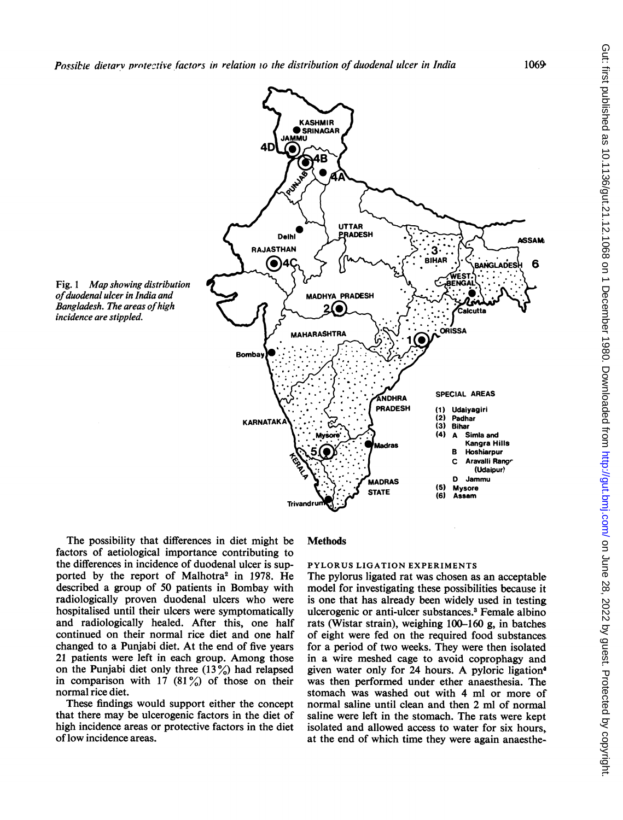

The possibility that differences in diet might be factors of aetiological importance contributing to the differences in incidence of duodenal ulcer is supported by the report of Malhotra<sup>2</sup> in 1978. He described a group of 50 patients in Bombay with radiologically proven duodenal ulcers who were hospitalised until their ulcers were symptomatically and radiologically healed. After this, one half continued on their normal rice diet and one half changed to a Punjabi diet. At the end of five years <sup>21</sup> patients were left in each group. Among those on the Punjabi diet only three  $(13\%)$  had relapsed in comparison with 17  $(81\%)$  of those on their normal rice diet.

These findings would support either the concept that there may be ulcerogenic factors in the diet of high incidence areas or protective factors in the diet of low incidence areas.

### **Methods**

# PYLORUS LIGATION EXPERIMENTS

The pylorus ligated rat was chosen as an acceptable model for investigating these possibilities because it is one that has already been widely used in testing ulcerogenic or anti-ulcer substances.<sup>3</sup> Female albino rats (Wistar strain), weighing 100-160 g, in batches of eight were fed on the required food substances for a period of two weeks. They were then isolated in a wire meshed cage to avoid coprophagy and given water only for <sup>24</sup> hours. A pyloric ligation4 was then performed under ether anaesthesia. The stomach was washed out with 4 ml or more of normal saline until clean and then 2 ml of normal saline were left in the stomach. The rats were kept isolated and allowed access to water for six hours, at the end of which time they were again anaesthe-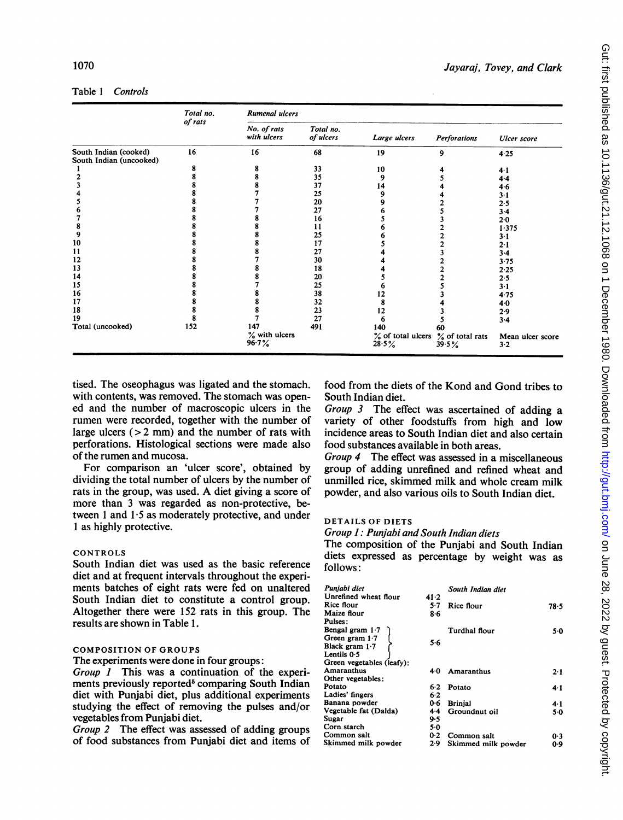# Table <sup>1</sup> Controls

|                                                  | Total no.<br>of rats | <b>Rumenal ulcers</b>      |                        |                                            |                     |                         |  |  |
|--------------------------------------------------|----------------------|----------------------------|------------------------|--------------------------------------------|---------------------|-------------------------|--|--|
|                                                  |                      | No. of rats<br>with ulcers | Total no.<br>of ulcers | Large ulcers                               | <b>Perforations</b> | <b>Ulcer</b> score      |  |  |
| South Indian (cooked)<br>South Indian (uncooked) | 16                   | 16                         | 68                     | 19                                         | 9                   | 4.25                    |  |  |
|                                                  | 8                    |                            | 33                     | 10                                         |                     | $4-1$                   |  |  |
|                                                  | 8                    |                            | 35                     | 9                                          |                     | 4.4                     |  |  |
|                                                  |                      |                            | 37                     | 14                                         |                     | 4.6                     |  |  |
|                                                  |                      |                            | 25                     |                                            |                     | $3 - 1$                 |  |  |
|                                                  |                      |                            | 20                     |                                            |                     | 2.5                     |  |  |
|                                                  |                      |                            | 27                     |                                            |                     | $3 - 4$                 |  |  |
|                                                  |                      |                            | 16                     |                                            |                     | $2 - 0$                 |  |  |
| 8                                                |                      |                            | 11                     |                                            |                     | 1.375                   |  |  |
| 9                                                |                      |                            | 25                     |                                            |                     | $3-1$                   |  |  |
| 10                                               |                      |                            | 17                     |                                            |                     | $2 - 1$                 |  |  |
| 11                                               |                      |                            | 27                     |                                            |                     | $3-4$                   |  |  |
| 12                                               |                      |                            | 30                     |                                            |                     | 3.75                    |  |  |
| 13                                               |                      |                            | 18                     |                                            |                     | 2.25                    |  |  |
| 14                                               |                      |                            | 20                     |                                            |                     | 2.5                     |  |  |
| 15                                               |                      |                            | 25                     |                                            |                     | $3-1$                   |  |  |
| 16                                               |                      |                            | 38                     |                                            |                     | 4.75                    |  |  |
| 17                                               |                      |                            | 32                     |                                            |                     | 4.0                     |  |  |
| 18                                               | 8                    |                            | 23                     | 12                                         |                     | 2.9                     |  |  |
| 19                                               |                      |                            | 27                     | 6                                          |                     | $3-4$                   |  |  |
| Total (uncooked)                                 | 152                  | 147                        | 491                    | 140                                        | 60                  |                         |  |  |
|                                                  |                      | % with ulcers<br>96.7%     |                        | % of total ulcers % of total rats<br>28.5% | 39.5%               | Mean ulcer score<br>3.2 |  |  |

tised. The oseophagus was ligated and the stomach. with contents, was removed. The stomach was opened and the number of macroscopic ulcers in the rumen were recorded, together with the number of large ulcers  $(> 2$  mm) and the number of rats with perforations. Histological sections were made also of the rumen and mucosa.

For comparison an 'ulcer score', obtained by dividing the total number of ulcers by the number of rats in the group, was used. A diet giving <sup>a</sup> score of more than <sup>3</sup> was regarded as non-protective, between 1 and  $1.5$  as moderately protective, and under <sup>1</sup> as highly protective.

## **CONTROLS**

South Indian diet was used as the basic reference diet and at frequent intervals throughout the experiments batches of eight rats were fed on unaltered South Indian diet to constitute a control group. Altogether there were 152 rats in this group. The results are shown in Table 1.

## COMPOSITION OF GROUPS

The experiments were done in four groups:

Group <sup>1</sup> This was a continuation of the experiments previously reported<sup>5</sup> comparing South Indian diet with Punjabi diet, plus additional experiments studying the effect of removing the pulses and/or vegetables from Punjabi diet.

Group 2 The effect was assessed of adding groups of food substances from Punjabi diet and items of food from the diets of the Kond and Gond tribes to South Indian diet.

Group 3 The effect was ascertained of adding a variety of other foodstuffs from high and low incidence areas to South Indian diet and also certain food substances available in both areas.

Group 4 The effect was assessed in a miscellaneous group of adding unrefined and refined wheat and unmilled rice, skimmed milk and whole cream milk powder, and also various oils to South Indian diet.

# DETAILS OF DIETS

Group 1: Punjabi and South Indian diets

The composition of the Punjabi and South Indian diets expressed as percentage by weight was as follows:

| Punjabi diet              |         | South Indian diet   |       |
|---------------------------|---------|---------------------|-------|
| Unrefined wheat flour     | 41.2    |                     |       |
| Rice flour                | 5.7     | Rice flour          | 78.5  |
| Maize flour               | 86      |                     |       |
| Pulses:                   |         |                     |       |
| Bengal gram $1.7$         |         | Turdhal flour       | 5.0   |
| Green gram $1.7$          |         |                     |       |
| Black gram $1.7$          | 5.6     |                     |       |
| Lentils 0.5               |         |                     |       |
| Green vegetables (leafy): |         |                     |       |
| Amaranthus                | 40      | Amaranthus          | 2.1   |
| Other vegetables:         |         |                     |       |
| Potato                    | $6 - 2$ | Potato              | 4.1   |
| Ladies' fingers           | 6.2     |                     |       |
| Banana powder             | 0.6     | <b>Brinial</b>      | 4.1   |
| Vegetable fat (Dalda)     | $4 - 4$ | Groundnut oil       | $5-0$ |
| Sugar                     | 9.5     |                     |       |
| Corn starch               | 5.0     |                     |       |
| Common salt               | 0.2     | Common salt         | 0.3   |
| Skimmed milk powder       | 2.9     | Skimmed milk powder | 0.9   |
|                           |         |                     |       |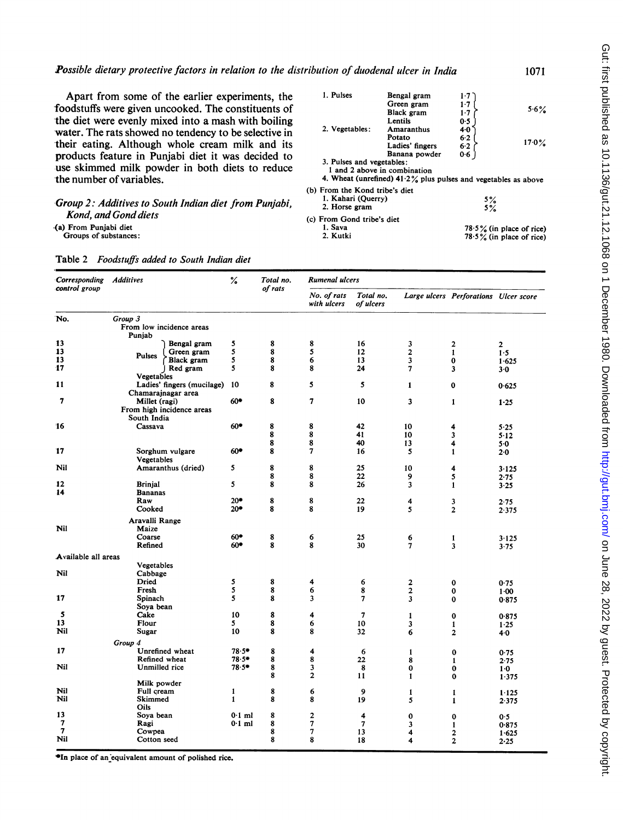Apart from some of the earlier experiments, the foodstuffs were given uncooked. The constituents of the diet were evenly mixed into a mash with boiling water. The rats showed no tendency to be selective in their eating. Although whole cream milk and its products feature in Punjabi diet it was decided to use skimmed milk powder in both diets to reduce the number of variables.

## Group 2: Additives to South Indian diet from Punjabi, Kond, and Gond diets

(a) From Punjabi diet

Groups of substances:

| I. Pulses                      | Bengal gram                                                       | $1-7$             |                             |
|--------------------------------|-------------------------------------------------------------------|-------------------|-----------------------------|
|                                | Green gram                                                        | 1.7               |                             |
|                                | Black gram                                                        | $1-7$             | 5.6%                        |
|                                | Lentils                                                           | 0.5               |                             |
| 2. Vegetables:                 | <b>Amaranthus</b>                                                 | $4-0$             |                             |
|                                | Potato                                                            | 6.2               |                             |
|                                | Ladies' fingers                                                   | 6.2               | $17.0\%$                    |
|                                | Banana powder                                                     | 0.6               |                             |
| 3. Pulses and vegetables:      |                                                                   |                   |                             |
|                                | 1 and 2 above in combination                                      |                   |                             |
|                                | 4. Wheat (unrefined) $41.2\%$ plus pulses and vegetables as above |                   |                             |
| (b) From the Kond tribe's diet |                                                                   |                   |                             |
| 1. Kahari (Ouerry)             |                                                                   |                   |                             |
| 2. Horse gram                  |                                                                   | $\frac{5\%}{5\%}$ |                             |
|                                |                                                                   |                   |                             |
| (c) From Gond tribe's diet     |                                                                   |                   |                             |
| 1. Sava                        |                                                                   |                   | $78.5\%$ (in place of rice) |
| 2. Kutki                       |                                                                   |                   | $78.5\%$ (in place of rice) |
|                                |                                                                   |                   |                             |

1071

| control group<br>of rats<br>No. of rats<br>Total no.<br>Large ulcers Perforations Ulcer score<br>with ulcers<br>of ulcers<br>Group 3<br>No.<br>From low incidence areas<br>Puniab<br>13<br>8<br>5<br>8<br>16<br>3<br>Bengal gram<br>$\mathbf 2$<br>13<br>5<br>5<br>8<br>12<br>$\overline{2}$<br>Green gram<br>$\mathbf{1}$<br><b>Pulses</b><br>13<br>5<br>8<br>6<br>13<br>3<br>Black gram<br>$\bf{0}$<br>17<br>5<br>8<br>8<br>Red gram<br>24<br>$\overline{7}$<br>3<br>Vegetables<br>8<br>5<br>11<br>Ladies' fingers (mucilage)<br>5<br>-10<br>$\mathbf{1}$<br>$\bf{0}$<br>Chamarajnagar area<br>7<br>60*<br>8<br>7<br>10<br>3<br>Millet (ragi)<br>1<br>From high incidence areas<br>South India<br>8<br>16<br>$60*$<br>8<br>42<br>10<br>Cassava<br>4<br>8<br>8<br>41<br>10<br>3<br>8<br>8<br>40<br>13<br>4<br>8<br>$\overline{7}$<br>17<br>$60*$<br>Sorghum vulgare<br>16<br>5<br>$\mathbf{1}$<br>Vegetables<br>8<br>8<br>5<br>Nil<br>Amaranthus (dried)<br>25<br>10<br>4<br>8<br>8<br>22<br>9<br>5<br>5<br>8<br>8<br>12<br><b>Brinjal</b><br>26<br>3<br>$\mathbf{1}$<br>14<br><b>Bananas</b><br>8<br>8<br>Raw<br>20*<br>22<br>4<br>3<br>$20*$<br>8<br>8<br>19<br>5<br>$\overline{2}$<br>Cooked<br>Aravalli Range<br>Nil<br>Maize<br>60*<br>8<br>6<br>Coarse<br>25<br>6<br>$\mathbf{1}$<br>8<br>8<br>30<br>Refined<br>$60*$<br>$\overline{7}$<br>3 |                |
|-----------------------------------------------------------------------------------------------------------------------------------------------------------------------------------------------------------------------------------------------------------------------------------------------------------------------------------------------------------------------------------------------------------------------------------------------------------------------------------------------------------------------------------------------------------------------------------------------------------------------------------------------------------------------------------------------------------------------------------------------------------------------------------------------------------------------------------------------------------------------------------------------------------------------------------------------------------------------------------------------------------------------------------------------------------------------------------------------------------------------------------------------------------------------------------------------------------------------------------------------------------------------------------------------------------------------------------------------------|----------------|
|                                                                                                                                                                                                                                                                                                                                                                                                                                                                                                                                                                                                                                                                                                                                                                                                                                                                                                                                                                                                                                                                                                                                                                                                                                                                                                                                                     |                |
|                                                                                                                                                                                                                                                                                                                                                                                                                                                                                                                                                                                                                                                                                                                                                                                                                                                                                                                                                                                                                                                                                                                                                                                                                                                                                                                                                     |                |
|                                                                                                                                                                                                                                                                                                                                                                                                                                                                                                                                                                                                                                                                                                                                                                                                                                                                                                                                                                                                                                                                                                                                                                                                                                                                                                                                                     | $\overline{2}$ |
|                                                                                                                                                                                                                                                                                                                                                                                                                                                                                                                                                                                                                                                                                                                                                                                                                                                                                                                                                                                                                                                                                                                                                                                                                                                                                                                                                     | 1.5            |
|                                                                                                                                                                                                                                                                                                                                                                                                                                                                                                                                                                                                                                                                                                                                                                                                                                                                                                                                                                                                                                                                                                                                                                                                                                                                                                                                                     | 1.625          |
|                                                                                                                                                                                                                                                                                                                                                                                                                                                                                                                                                                                                                                                                                                                                                                                                                                                                                                                                                                                                                                                                                                                                                                                                                                                                                                                                                     | $3-0$          |
|                                                                                                                                                                                                                                                                                                                                                                                                                                                                                                                                                                                                                                                                                                                                                                                                                                                                                                                                                                                                                                                                                                                                                                                                                                                                                                                                                     |                |
|                                                                                                                                                                                                                                                                                                                                                                                                                                                                                                                                                                                                                                                                                                                                                                                                                                                                                                                                                                                                                                                                                                                                                                                                                                                                                                                                                     |                |
|                                                                                                                                                                                                                                                                                                                                                                                                                                                                                                                                                                                                                                                                                                                                                                                                                                                                                                                                                                                                                                                                                                                                                                                                                                                                                                                                                     | 0.625          |
|                                                                                                                                                                                                                                                                                                                                                                                                                                                                                                                                                                                                                                                                                                                                                                                                                                                                                                                                                                                                                                                                                                                                                                                                                                                                                                                                                     |                |
|                                                                                                                                                                                                                                                                                                                                                                                                                                                                                                                                                                                                                                                                                                                                                                                                                                                                                                                                                                                                                                                                                                                                                                                                                                                                                                                                                     | 1.25           |
|                                                                                                                                                                                                                                                                                                                                                                                                                                                                                                                                                                                                                                                                                                                                                                                                                                                                                                                                                                                                                                                                                                                                                                                                                                                                                                                                                     | 5.25           |
|                                                                                                                                                                                                                                                                                                                                                                                                                                                                                                                                                                                                                                                                                                                                                                                                                                                                                                                                                                                                                                                                                                                                                                                                                                                                                                                                                     | $5 - 12$       |
|                                                                                                                                                                                                                                                                                                                                                                                                                                                                                                                                                                                                                                                                                                                                                                                                                                                                                                                                                                                                                                                                                                                                                                                                                                                                                                                                                     | 5.0            |
|                                                                                                                                                                                                                                                                                                                                                                                                                                                                                                                                                                                                                                                                                                                                                                                                                                                                                                                                                                                                                                                                                                                                                                                                                                                                                                                                                     | $2 - 0$        |
|                                                                                                                                                                                                                                                                                                                                                                                                                                                                                                                                                                                                                                                                                                                                                                                                                                                                                                                                                                                                                                                                                                                                                                                                                                                                                                                                                     | 3.125          |
|                                                                                                                                                                                                                                                                                                                                                                                                                                                                                                                                                                                                                                                                                                                                                                                                                                                                                                                                                                                                                                                                                                                                                                                                                                                                                                                                                     | 2.75           |
|                                                                                                                                                                                                                                                                                                                                                                                                                                                                                                                                                                                                                                                                                                                                                                                                                                                                                                                                                                                                                                                                                                                                                                                                                                                                                                                                                     | 3.25           |
|                                                                                                                                                                                                                                                                                                                                                                                                                                                                                                                                                                                                                                                                                                                                                                                                                                                                                                                                                                                                                                                                                                                                                                                                                                                                                                                                                     |                |
|                                                                                                                                                                                                                                                                                                                                                                                                                                                                                                                                                                                                                                                                                                                                                                                                                                                                                                                                                                                                                                                                                                                                                                                                                                                                                                                                                     | 2.75           |
|                                                                                                                                                                                                                                                                                                                                                                                                                                                                                                                                                                                                                                                                                                                                                                                                                                                                                                                                                                                                                                                                                                                                                                                                                                                                                                                                                     | 2.375          |
|                                                                                                                                                                                                                                                                                                                                                                                                                                                                                                                                                                                                                                                                                                                                                                                                                                                                                                                                                                                                                                                                                                                                                                                                                                                                                                                                                     |                |
|                                                                                                                                                                                                                                                                                                                                                                                                                                                                                                                                                                                                                                                                                                                                                                                                                                                                                                                                                                                                                                                                                                                                                                                                                                                                                                                                                     |                |
|                                                                                                                                                                                                                                                                                                                                                                                                                                                                                                                                                                                                                                                                                                                                                                                                                                                                                                                                                                                                                                                                                                                                                                                                                                                                                                                                                     | 3.125          |
|                                                                                                                                                                                                                                                                                                                                                                                                                                                                                                                                                                                                                                                                                                                                                                                                                                                                                                                                                                                                                                                                                                                                                                                                                                                                                                                                                     | 3.75           |
|                                                                                                                                                                                                                                                                                                                                                                                                                                                                                                                                                                                                                                                                                                                                                                                                                                                                                                                                                                                                                                                                                                                                                                                                                                                                                                                                                     |                |
| Available all areas                                                                                                                                                                                                                                                                                                                                                                                                                                                                                                                                                                                                                                                                                                                                                                                                                                                                                                                                                                                                                                                                                                                                                                                                                                                                                                                                 |                |
| Vegetables                                                                                                                                                                                                                                                                                                                                                                                                                                                                                                                                                                                                                                                                                                                                                                                                                                                                                                                                                                                                                                                                                                                                                                                                                                                                                                                                          |                |
| Nil<br>Cabbage                                                                                                                                                                                                                                                                                                                                                                                                                                                                                                                                                                                                                                                                                                                                                                                                                                                                                                                                                                                                                                                                                                                                                                                                                                                                                                                                      |                |
| Dried<br>5<br>8<br>4<br>6<br>2<br>$\bf{0}$                                                                                                                                                                                                                                                                                                                                                                                                                                                                                                                                                                                                                                                                                                                                                                                                                                                                                                                                                                                                                                                                                                                                                                                                                                                                                                          | 0.75           |
| 5<br>8<br>Fresh<br>6<br>8<br>$\overline{\mathbf{c}}$<br>$\bf{0}$                                                                                                                                                                                                                                                                                                                                                                                                                                                                                                                                                                                                                                                                                                                                                                                                                                                                                                                                                                                                                                                                                                                                                                                                                                                                                    | $1-00$         |
| 5<br>17<br>8<br>3<br>7<br>3<br>Spinach<br>$\bf{0}$                                                                                                                                                                                                                                                                                                                                                                                                                                                                                                                                                                                                                                                                                                                                                                                                                                                                                                                                                                                                                                                                                                                                                                                                                                                                                                  | 0.875          |
| Soya bean                                                                                                                                                                                                                                                                                                                                                                                                                                                                                                                                                                                                                                                                                                                                                                                                                                                                                                                                                                                                                                                                                                                                                                                                                                                                                                                                           |                |
| 8<br>5<br>Cake<br>10<br>4<br>$\overline{7}$<br>$\mathbf{1}$<br>$\bf{0}$                                                                                                                                                                                                                                                                                                                                                                                                                                                                                                                                                                                                                                                                                                                                                                                                                                                                                                                                                                                                                                                                                                                                                                                                                                                                             | 0.875          |
| 8<br>13<br>5<br>Flour<br>6<br>10<br>3<br>$\mathbf{1}$                                                                                                                                                                                                                                                                                                                                                                                                                                                                                                                                                                                                                                                                                                                                                                                                                                                                                                                                                                                                                                                                                                                                                                                                                                                                                               | 1.25           |
| 8<br>Nil<br>10<br>8<br>Sugar<br>32<br>6<br>$\overline{2}$                                                                                                                                                                                                                                                                                                                                                                                                                                                                                                                                                                                                                                                                                                                                                                                                                                                                                                                                                                                                                                                                                                                                                                                                                                                                                           | 4.0            |
| Group 4                                                                                                                                                                                                                                                                                                                                                                                                                                                                                                                                                                                                                                                                                                                                                                                                                                                                                                                                                                                                                                                                                                                                                                                                                                                                                                                                             |                |
| 17<br>8<br>Unrefined wheat<br>$78.5*$<br>4<br>6<br>1<br>$\bf{0}$                                                                                                                                                                                                                                                                                                                                                                                                                                                                                                                                                                                                                                                                                                                                                                                                                                                                                                                                                                                                                                                                                                                                                                                                                                                                                    | 0.75           |
| Refined wheat<br>$78.5*$<br>8<br>8<br>22<br>8<br>1                                                                                                                                                                                                                                                                                                                                                                                                                                                                                                                                                                                                                                                                                                                                                                                                                                                                                                                                                                                                                                                                                                                                                                                                                                                                                                  | 2.75           |
| Nil<br>3<br>Unmilled rice<br>$78.5*$<br>8<br>8<br>0<br>$\bf{0}$                                                                                                                                                                                                                                                                                                                                                                                                                                                                                                                                                                                                                                                                                                                                                                                                                                                                                                                                                                                                                                                                                                                                                                                                                                                                                     | 1·0            |
| $\mathbf{2}$<br>8<br>11<br>$\mathbf{1}$<br>$\Omega$                                                                                                                                                                                                                                                                                                                                                                                                                                                                                                                                                                                                                                                                                                                                                                                                                                                                                                                                                                                                                                                                                                                                                                                                                                                                                                 | 1.375          |
| Milk powder                                                                                                                                                                                                                                                                                                                                                                                                                                                                                                                                                                                                                                                                                                                                                                                                                                                                                                                                                                                                                                                                                                                                                                                                                                                                                                                                         |                |
| Nil<br>Full cream<br>8<br>6<br>$\mathbf{1}$<br>9<br>$\mathbf{1}$<br>$\mathbf{1}$                                                                                                                                                                                                                                                                                                                                                                                                                                                                                                                                                                                                                                                                                                                                                                                                                                                                                                                                                                                                                                                                                                                                                                                                                                                                    | 1.125          |
| 8<br>Nil<br>Skimmed<br>$\mathbf{1}$<br>8<br>19<br>5<br>$\mathbf{1}$                                                                                                                                                                                                                                                                                                                                                                                                                                                                                                                                                                                                                                                                                                                                                                                                                                                                                                                                                                                                                                                                                                                                                                                                                                                                                 | 2.375          |
| Oils                                                                                                                                                                                                                                                                                                                                                                                                                                                                                                                                                                                                                                                                                                                                                                                                                                                                                                                                                                                                                                                                                                                                                                                                                                                                                                                                                |                |
| 8<br>$\overline{\mathbf{c}}$<br>13<br>Soya bean<br>$0.1$ ml<br>4<br>$\bf{0}$<br>$\bf{0}$                                                                                                                                                                                                                                                                                                                                                                                                                                                                                                                                                                                                                                                                                                                                                                                                                                                                                                                                                                                                                                                                                                                                                                                                                                                            | 0.5            |
| 7<br>7<br>8<br>$0.1$ ml<br>Ragi<br>7<br>3<br>$\mathbf{1}$                                                                                                                                                                                                                                                                                                                                                                                                                                                                                                                                                                                                                                                                                                                                                                                                                                                                                                                                                                                                                                                                                                                                                                                                                                                                                           | 0.875          |
| 7<br>$\overline{7}$<br>8<br>Cowpea<br>13<br>4<br>$\overline{\mathbf{2}}$                                                                                                                                                                                                                                                                                                                                                                                                                                                                                                                                                                                                                                                                                                                                                                                                                                                                                                                                                                                                                                                                                                                                                                                                                                                                            | 1.625          |
| Nil<br>8<br>8<br>Cotton seed<br>18<br>$\overline{\mathbf{4}}$<br>$\overline{2}$                                                                                                                                                                                                                                                                                                                                                                                                                                                                                                                                                                                                                                                                                                                                                                                                                                                                                                                                                                                                                                                                                                                                                                                                                                                                     | 2.25           |

# Table 2 Foodstuffs added to South Indian diet

\*In place of an equivalent amount of polished rice.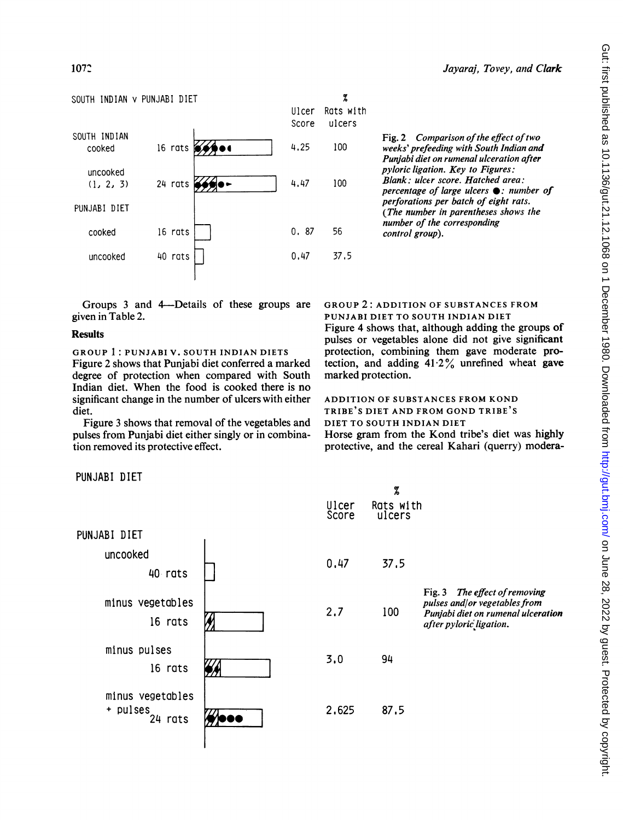## SOUTH INDIAN v PUNJABI DIET



Groups 3 and 4-Details of these groups are given in Table 2.

## Results

GROUP 1: PUNJABI V. SOUTH INDIAN DIETS Figure 2 shows that Punjabi diet conferred a marked degree of protection when compared with South Indian diet. When the food is cooked there is no significant change in the number of ulcers with either diet.

Figure 3 shows that removal of the vegetables and pulses from Punjabi diet either singly or in combination removed its protective effect.

Fig. 2 Comparison of the effect of two 4.25 100 weeks' prefeeding with South Indian and Punjabi diet on rumenal ulceration after pyloric ligation. Key to Figures: 4.47 100 Blank: ulcer score. Hatched area: percentage of large ulcers  $\bullet$ : number of perforations per batch of eight rats. (The number in parentheses shows the number of the corresponding 0. 87  $56$  control group).

# GROUP 2: ADDITION OF SUBSTANCES FROM

 $\rm{z}$ 

PUNJABI DIET TO SOUTH INDIAN DIET Figure 4 shows that, although adding the groups of pulses or vegetables alone did not give significant protection, combining them gave moderate protection, and adding 41-2% unrefined wheat gave marked protection.

# ADDITION OF SUBSTANCES FROM KOND TRIBE'S DIET AND FROM GOND TRIBE'S DIET TO SOUTH INDIAN DIET

Horse gram from the Kond tribe's diet was highly protective, and the cereal Kahari (querry) modera-

PUNJABI DIET

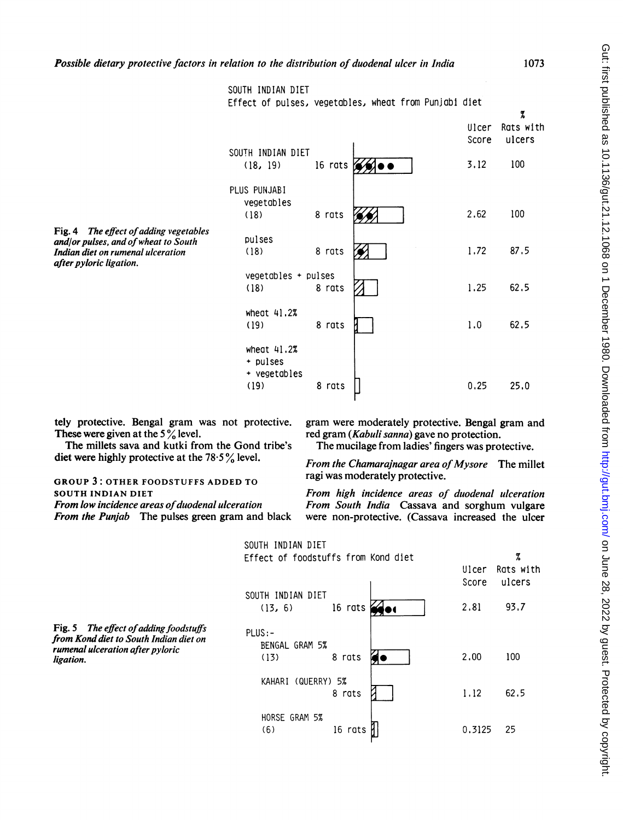Gut: first published as 10.1136/gut.21.12.1068 on 1 December 1980. Downloaded from http://gut.bmj.com/ on June 28, 2022 by guest. Protected by copyright Gut: first published as 10.1136/gut.21.12.1068 on 1 December 1980. Downloaded from <http://gut.bmj.com/> on June 28, 2022 by guest. Protected by copyright.

|                                                                                                                                                | SOUTH INDIAN DIET                                 |         | Effect of pulses, vegetables, wheat from Punjabi diet |                | 7                   |
|------------------------------------------------------------------------------------------------------------------------------------------------|---------------------------------------------------|---------|-------------------------------------------------------|----------------|---------------------|
|                                                                                                                                                |                                                   |         |                                                       | Ulcer<br>Score | Rats with<br>ulcers |
|                                                                                                                                                | SOUTH INDIAN DIET<br>(18, 19)                     | 16 rats |                                                       | 3.12           | 100                 |
|                                                                                                                                                | PLUS PUNJABI<br>vegetables<br>(18)                | 8 rats  |                                                       | 2.62           | 100                 |
| Fig. 4 The effect of adding vegetables<br>and/or pulses, and of wheat to South<br>Indian diet on rumenal ulceration<br>after pyloric ligation. | pulses<br>(18)                                    | 8 rats  |                                                       | 1.72           | 87.5                |
|                                                                                                                                                | $vegetables + pulses$<br>(18)                     | 8 rats  |                                                       | 1.25           | 62.5                |
|                                                                                                                                                | wheat $41.2%$<br>(19)                             | 8 rats  |                                                       | 1.0            | 62.5                |
|                                                                                                                                                | wheat $41.2%$<br>+ pulses<br>+ vegetables<br>(19) | 8 rats  |                                                       | 0.25           | 25.0                |

tely protective. Bengal gram was not protective. These were given at the  $5\%$  level.

The millets sava and kutki from the Gond tribe's diet were highly protective at the  $78.5\%$  level.

GROUP 3: OTHER FOODSTUFFS ADDED TO SOUTH INDIAN DIET

From low incidence areas of duodenal ulceration

From the Punjab The pulses green gram and black

gram were moderately protective. Bengal gram and red gram (Kabuli sanna) gave no protection.

The mucilage from ladies' fingers was protective.

From the Chamarajnagar area of Mysore The millet ragi was moderately protective.

From high incidence areas of duodenal ulceration From South India Cassava and sorghum vulgare were non-protective. (Cassava increased the ulcer

|                                                                                                                                   | SOUTH INDIAN DIET<br>Effect of foodstuffs from Kond diet |         |             | Ulcer<br>Score | %<br>Rats with<br>ulcers |
|-----------------------------------------------------------------------------------------------------------------------------------|----------------------------------------------------------|---------|-------------|----------------|--------------------------|
|                                                                                                                                   | SOUTH INDIAN DIET<br>(13, 6)                             | 16 rats | <b>SHOP</b> | 2,81           | 93.7                     |
| Fig. 5 The effect of adding foodstuffs<br>from Kond diet to South Indian diet on<br>rumenal ulceration after pyloric<br>ligation. | $PLUS: -$<br>BENGAL GRAM 5%<br>(13)                      | 8 rats  |             | 2,00           | 100                      |
|                                                                                                                                   | (QUERRY) 5%<br><b>KAHAR I</b>                            | 8 rats  |             | 1.12           | 62.5                     |
|                                                                                                                                   | HORSE GRAM 5%<br>(6)                                     | 16 rats |             | 0.3125         | 25                       |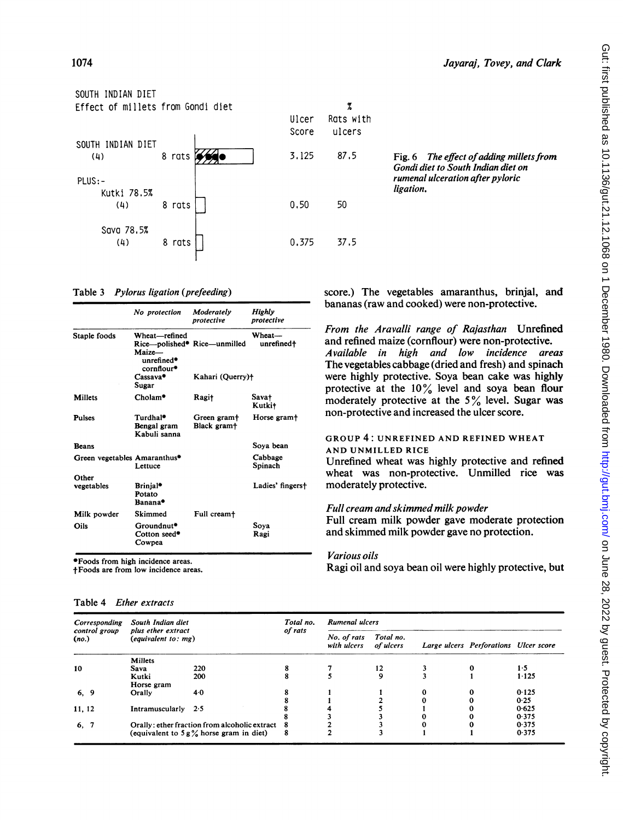

Table 3 Pylorus ligation (prefeeding)

|                              | No protection                                                                             | Moderately<br>protective               | Highly<br>protective   |
|------------------------------|-------------------------------------------------------------------------------------------|----------------------------------------|------------------------|
| Staple foods                 | Wheat-refined<br>Rice—polished* Rice—unmilled<br>$M$ aize $-$<br>unrefined*<br>cornflour* |                                        | Wheat---<br>unrefined† |
|                              | $\frac{2}{3}$ Cassava*<br>Sugar                                                           | Kahari (Querry)+                       |                        |
| Millets                      | Cholam*                                                                                   | Ragi+                                  | Sava†<br>Kutki+        |
| Pulses                       | Turdhal*<br>Bengal gram<br>Kabuli sanna                                                   | Green gram+<br>Black gram <sup>+</sup> | Horse gram+            |
| <b>Beans</b>                 |                                                                                           |                                        | Sova bean              |
| Green vegetables Amaranthus* | Lettuce                                                                                   |                                        | Cabbage<br>Spinach     |
| Other<br>vegetables          | Brinjal*<br>Potato<br>Banana*                                                             |                                        | Ladies' fingerst       |
| Milk powder                  | Skimmed                                                                                   | Full cream <sup>+</sup>                |                        |
| Oils                         | Groundnut*<br>Cotton seed*<br>Cowpea                                                      |                                        | Sova<br>Ragi           |

\*Foods from high incidence areas.

tFoods are from low incidence areas.

| Table 4 <i>Ether extracts</i> |  |
|-------------------------------|--|
|                               |  |

score.) The vegetables amaranthus, brinjal, and bananas (raw and cooked) were non-protective.

From the Aravalli range of Rajasthan Unrefined and refined maize (cornflour) were non-protective. Available in high and low incidence areas The vegetables cabbage (dried and fresh) and spinach were highly protective. Soya bean cake was highly protective at the  $10\%$  level and soya bean flour moderately protective at the  $5\%$  level. Sugar was non-protective and increased the ulcer score.

## GROUP 4: UNREFINED AND REFINED WHEAT AND UNMILLED RICE

Unrefined wheat was highly protective and refined wheat was non-protective. Unmilled rice was moderately protective.

# Full cream and skimmed milk powder

Full cream milk powder gave moderate protection and skimmed milk powder gave no protection.

# Various oils

Ragi oil and soya bean oil were highly protective, but

| Corresponding          | South Indian diet<br>plus ether extract<br>$\left($ <i>equivalent to: mg</i> ) |                                               | Total no.<br>of rats | <b>Rumenal ulcers</b>      |                        |   |                                       |       |
|------------------------|--------------------------------------------------------------------------------|-----------------------------------------------|----------------------|----------------------------|------------------------|---|---------------------------------------|-------|
| control group<br>(no.) |                                                                                |                                               |                      | No. of rats<br>with ulcers | Total no.<br>of ulcers |   | Large ulcers Perforations Ulcer score |       |
|                        | Millets                                                                        |                                               |                      |                            |                        |   |                                       |       |
| 10                     | Sava                                                                           | 220                                           | 8                    |                            | 12                     |   | 0                                     | 1.5   |
|                        | Kutki                                                                          | 200                                           | 8                    |                            | 9                      |   |                                       | 1.125 |
|                        | Horse gram                                                                     |                                               |                      |                            |                        |   |                                       |       |
| 6, 9                   | Orally                                                                         | 4.0                                           |                      |                            |                        |   |                                       | 0.125 |
|                        |                                                                                |                                               |                      |                            |                        |   |                                       | 0.25  |
| 11, 12                 | Intramuscularly $2.5$                                                          |                                               |                      |                            |                        |   |                                       | 0.625 |
|                        |                                                                                |                                               |                      |                            |                        | 0 |                                       | 0.375 |
| 6, 7                   |                                                                                | Orally: ether fraction from alcoholic extract | - 8                  |                            |                        | 0 |                                       | 0.375 |
|                        |                                                                                | (equivalent to $5g\%$ horse gram in diet)     | 8                    |                            |                        |   |                                       | 0.375 |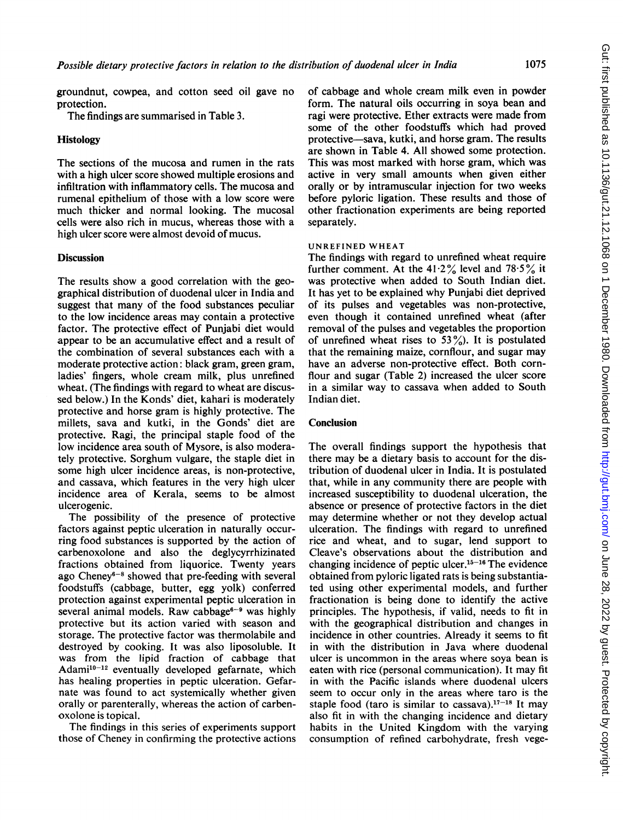1075

groundnut, cowpea, and cotton seed oil gave no protection.

The findings are summarised in Table 3.

## Histology

The sections of the mucosa and rumen in the rats with a high ulcer score showed multiple erosions and infiltration with inflammatory cells. The mucosa and rumenal epithelium of those with a low score were much thicker and normal looking. The mucosal cells were also rich in mucus, whereas those with a high ulcer score were almost devoid of mucus.

## **Discussion**

The results show a good correlation with the geographical distribution of duodenal ulcer in India and suggest that many of the food substances peculiar to the low incidence areas may contain a protective factor. The protective effect of Punjabi diet would appear to be an accumulative effect and a result of the combination of several substances each with a moderate protective action: black gram, green gram, ladies' fingers, whole cream milk, plus unrefined wheat. (The findings with regard to wheat are discussed below.) In the Konds' diet, kahari is moderately protective and horse gram is highly protective. The millets, sava and kutki, in the Gonds' diet are protective. Ragi, the principal staple food of the low incidence area south of Mysore, is also moderately protective. Sorghum vulgare, the staple diet in some high ulcer incidence areas, is non-protective, and cassava, which features in the very high ulcer incidence area of Kerala, seems to be almost ulcerogenic.

The possibility of the presence of protective factors against peptic ulceration in naturally occurring food substances is supported by the action of carbenoxolone and also the deglycyrrhizinated fractions obtained from liquorice. Twenty years ago Cheney $6-8$  showed that pre-feeding with several foodstuffs (cabbage, butter, egg yolk) conferred protection against experimental peptic ulceration in several animal models. Raw cabbage<sup>6-9</sup> was highly protective but its action varied with season and storage. The protective factor was thermolabile and destroyed by cooking. It was also liposoluble. It was from the lipid fraction of cabbage that Adami<sup>10-12</sup> eventually developed gefarnate, which has healing properties in peptic ulceration. Gefarnate was found to act systemically whether given orally or parenterally, whereas the action of carbenoxolone is topical.

The findings in this series of experiments support those of Cheney in confirming the protective actions of cabbage and whole cream milk even in powder form. The natural oils occurring in soya bean and ragi were protective. Ether extracts were made from some of the other foodstuffs which had proved protective-sava, kutki, and horse gram. The results are shown in Table 4. All showed some protection. This was most marked with horse gram, which was active in very small amounts when given either orally or by intramuscular injection for two weeks before pyloric ligation. These results and those of other fractionation experiments are being reported separately.

#### UNREFINED WHEAT

The findings with regard to unrefined wheat require further comment. At the  $41.2\%$  level and  $78.5\%$  it was protective when added to South Indian diet. It has yet to be explained why Punjabi diet deprived of its pulses and vegetables was non-protective, even though it contained unrefined wheat (after removal of the pulses and vegetables the proportion of unrefined wheat rises to  $53\frac{\degree}{\degree}$ ). It is postulated that the remaining maize, cornflour, and sugar may have an adverse non-protective effect. Both cornflour and sugar (Table 2) increased the ulcer score in a similar way to cassava when added to South Indian diet.

## **Conclusion**

The overall findings support the hypothesis that there may be a dietary basis to account for the distribution of duodenal ulcer in India. It is postulated that, while in any community there are people with increased susceptibility to duodenal ulceration, the absence or presence of protective factors in the diet may determine whether or not they develop actual ulceration. The findings with regard to unrefined rice and wheat, and to sugar, lend support to Cleave's observations about the distribution and changing incidence of peptic ulcer.<sup>15-16</sup> The evidence obtained from pyloric ligated rats is being substantiated using other experimental models, and further fractionation is being done to identify the active principles. The hypothesis, if valid, needs to fit in with the geographical distribution and changes in incidence in other countries. Already it seems to fit in with the distribution in Java where duodenal ulcer is uncommon in the areas where soya bean is eaten with rice (personal communication). It may fit in with the Pacific islands where duodenal ulcers seem to occur only in the areas where taro is the staple food (taro is similar to cassava). $17-18$  It may also fit in with the changing incidence and dietary habits in the United Kingdom with the varying consumption of refined carbohydrate, fresh vege